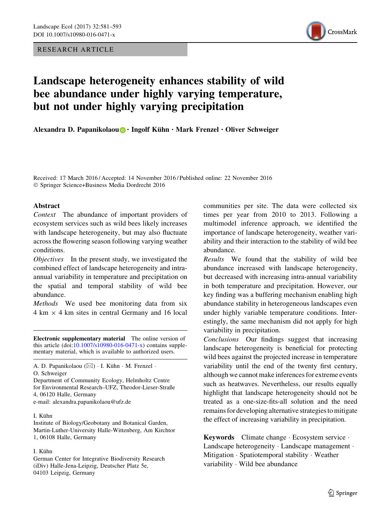RESEARCH ARTICLE



# Landscape heterogeneity enhances stability of wild bee abundance under highly varying temperature, but not under highly varying precipitation

Alexandra D. Papanikolaou **D** · Ingolf Kühn · Mark Frenzel · Oliver Schweiger

Received: 17 March 2016 / Accepted: 14 November 2016 / Published online: 22 November 2016 - Springer Science+Business Media Dordrecht 2016

## Abstract

Context The abundance of important providers of ecosystem services such as wild bees likely increases with landscape heterogeneity, but may also fluctuate across the flowering season following varying weather conditions.

Objectives In the present study, we investigated the combined effect of landscape heterogeneity and intraannual variability in temperature and precipitation on the spatial and temporal stability of wild bee abundance.

Methods We used bee monitoring data from six  $4 \text{ km } \times 4 \text{ km}$  sites in central Germany and 16 local

Electronic supplementary material The online version of this article (doi[:10.1007/s10980-016-0471-x\)](http://dx.doi.org/10.1007/s10980-016-0471-x) contains supplementary material, which is available to authorized users.

A. D. Papanikolaou (⊠) · I. Kühn · M. Frenzel · O. Schweiger

Department of Community Ecology, Helmholtz Centre for Environmental Research–UFZ, Theodor-Lieser-Straße 4, 06120 Halle, Germany e-mail: alexandra.papanikolaou@ufz.de

#### I. Kühn

Institute of Biology/Geobotany and Botanical Garden, Martin-Luther-University Halle-Wittenberg, Am Kirchtor 1, 06108 Halle, Germany

#### I. Kiihn

German Center for Integrative Biodiversity Research (iDiv) Halle-Jena-Leipzig, Deutscher Platz 5e, 04103 Leipzig, Germany

communities per site. The data were collected six times per year from 2010 to 2013. Following a multimodel inference approach, we identified the importance of landscape heterogeneity, weather variability and their interaction to the stability of wild bee abundance.

Results We found that the stability of wild bee abundance increased with landscape heterogeneity, but decreased with increasing intra-annual variability in both temperature and precipitation. However, our key finding was a buffering mechanism enabling high abundance stability in heterogeneous landscapes even under highly variable temperature conditions. Interestingly, the same mechanism did not apply for high variability in precipitation.

Conclusions Our findings suggest that increasing landscape heterogeneity is beneficial for protecting wild bees against the projected increase in temperature variability until the end of the twenty first century, although we cannot make inferences for extreme events such as heatwaves. Nevertheless, our results equally highlight that landscape heterogeneity should not be treated as a one-size-fits-all solution and the need remains for developing alternative strategiesto mitigate the effect of increasing variability in precipitation.

Keywords Climate change - Ecosystem service - Landscape heterogeneity · Landscape management · Mitigation - Spatiotemporal stability - Weather variability - Wild bee abundance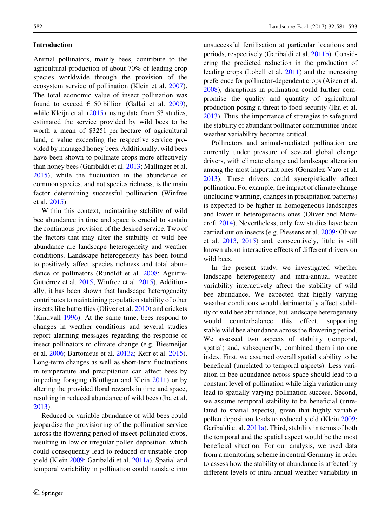## Introduction

Animal pollinators, mainly bees, contribute to the agricultural production of about 70% of leading crop species worldwide through the provision of the ecosystem service of pollination (Klein et al. [2007](#page-11-0)). The total economic value of insect pollination was found to exceed  $£150$  billion (Gallai et al. [2009](#page-10-0)), while Kleijn et al. [\(2015](#page-11-0)), using data from 53 studies, estimated the service provided by wild bees to be worth a mean of \$3251 per hectare of agricultural land, a value exceeding the respective service provided by managed honey bees. Additionally, wild bees have been shown to pollinate crops more effectively than honey bees (Garibaldi et al. [2013;](#page-10-0) Mallinger et al. [2015\)](#page-11-0), while the fluctuation in the abundance of common species, and not species richness, is the main factor determining successful pollination (Winfree et al. [2015](#page-12-0)).

Within this context, maintaining stability of wild bee abundance in time and space is crucial to sustain the continuous provision of the desired service. Two of the factors that may alter the stability of wild bee abundance are landscape heterogeneity and weather conditions. Landscape heterogeneity has been found to positively affect species richness and total abun-dance of pollinators (Rundlöf et al. [2008;](#page-11-0) Aguirre-Gutiérrez et al. [2015](#page-9-0); Winfree et al. [2015\)](#page-12-0). Additionally, it has been shown that landscape heterogeneity contributes to maintaining population stability of other insects like butterflies (Oliver et al. [2010\)](#page-11-0) and crickets (Kindvall [1996\)](#page-11-0). At the same time, bees respond to changes in weather conditions and several studies report alarming messages regarding the response of insect pollinators to climate change (e.g. Biesmeijer et al. [2006](#page-10-0); Bartomeus et al. [2013a;](#page-10-0) Kerr et al. [2015](#page-11-0)). Long-term changes as well as short-term fluctuations in temperature and precipitation can affect bees by impeding foraging (Blüthgen and Klein  $2011$ ) or by altering the provided floral rewards in time and space, resulting in reduced abundance of wild bees (Jha et al. [2013\)](#page-11-0).

Reduced or variable abundance of wild bees could jeopardise the provisioning of the pollination service across the flowering period of insect-pollinated crops, resulting in low or irregular pollen deposition, which could consequently lead to reduced or unstable crop yield (Klein [2009](#page-11-0); Garibaldi et al. [2011a](#page-10-0)). Spatial and temporal variability in pollination could translate into unsuccessful fertilisation at particular locations and periods, respectively (Garibaldi et al. [2011b](#page-10-0)). Considering the predicted reduction in the production of leading crops (Lobell et al. [2011](#page-11-0)) and the increasing preference for pollinator-dependent crops (Aizen et al. [2008\)](#page-10-0), disruptions in pollination could further compromise the quality and quantity of agricultural production posing a threat to food security (Jha et al. [2013\)](#page-11-0). Thus, the importance of strategies to safeguard the stability of abundant pollinator communities under weather variability becomes critical.

Pollinators and animal-mediated pollination are currently under pressure of several global change drivers, with climate change and landscape alteration among the most important ones (Gonzalez-Varo et al. [2013\)](#page-10-0). These drivers could synergistically affect pollination. For example, the impact of climate change (including warming, changes in precipitation patterns) is expected to be higher in homogeneous landscapes and lower in heterogeneous ones (Oliver and Morecroft [2014](#page-11-0)). Nevertheless, only few studies have been carried out on insects (e.g. Piessens et al. [2009;](#page-11-0) Oliver et al. [2013](#page-11-0), [2015\)](#page-11-0) and, consecutively, little is still known about interactive effects of different drivers on wild bees.

In the present study, we investigated whether landscape heterogeneity and intra-annual weather variability interactively affect the stability of wild bee abundance. We expected that highly varying weather conditions would detrimentally affect stability of wild bee abundance, but landscape heterogeneity would counterbalance this effect, supporting stable wild bee abundance across the flowering period. We assessed two aspects of stability (temporal, spatial) and, subsequently, combined them into one index. First, we assumed overall spatial stability to be beneficial (unrelated to temporal aspects). Less variation in bee abundance across space should lead to a constant level of pollination while high variation may lead to spatially varying pollination success. Second, we assume temporal stability to be beneficial (unrelated to spatial aspects), given that highly variable pollen deposition leads to reduced yield (Klein [2009](#page-11-0); Garibaldi et al. [2011a\)](#page-10-0). Third, stability in terms of both the temporal and the spatial aspect would be the most beneficial situation. For our analysis, we used data from a monitoring scheme in central Germany in order to assess how the stability of abundance is affected by different levels of intra-annual weather variability in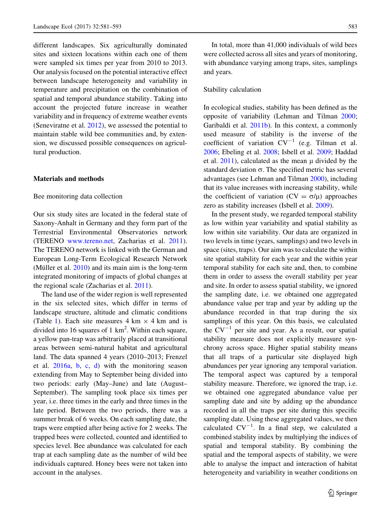different landscapes. Six agriculturally dominated sites and sixteen locations within each one of them were sampled six times per year from 2010 to 2013. Our analysis focused on the potential interactive effect between landscape heterogeneity and variability in temperature and precipitation on the combination of spatial and temporal abundance stability. Taking into account the projected future increase in weather variability and in frequency of extreme weather events (Seneviratne et al. [2012](#page-11-0)), we assessed the potential to maintain stable wild bee communities and, by extension, we discussed possible consequences on agricultural production.

#### Materials and methods

#### Bee monitoring data collection

Our six study sites are located in the federal state of Saxony-Anhalt in Germany and they form part of the Terrestrial Environmental Observatories network (TERENO [www.tereno.net](http://www.tereno.net), Zacharias et al. [2011](#page-12-0)). The TERENO network is linked with the German and European Long-Term Ecological Research Network (Müller et al.  $2010$ ) and its main aim is the long-term integrated monitoring of impacts of global changes at the regional scale (Zacharias et al. [2011](#page-12-0)).

The land use of the wider region is well represented in the six selected sites, which differ in terms of landscape structure, altitude and climatic conditions (Table [1](#page-3-0)). Each site measures  $4 \text{ km } \times 4 \text{ km}$  and is divided into 16 squares of 1  $km^2$ . Within each square, a yellow pan-trap was arbitrarily placed at transitional areas between semi-natural habitat and agricultural land. The data spanned 4 years (2010–2013; Frenzel et al. [2016a,](#page-10-0) [b,](#page-10-0) [c,](#page-10-0) [d\)](#page-10-0) with the monitoring season extending from May to September being divided into two periods: early (May–June) and late (August– September). The sampling took place six times per year, i.e. three times in the early and three times in the late period. Between the two periods, there was a summer break of 6 weeks. On each sampling date, the traps were emptied after being active for 2 weeks. The trapped bees were collected, counted and identified to species level. Bee abundance was calculated for each trap at each sampling date as the number of wild bee individuals captured. Honey bees were not taken into account in the analyses.

In total, more than 41,000 individuals of wild bees were collected across all sites and years of monitoring, with abundance varying among traps, sites, samplings and years.

#### Stability calculation

In ecological studies, stability has been defined as the opposite of variability (Lehman and Tilman [2000](#page-11-0); Garibaldi et al. [2011b](#page-10-0)). In this context, a commonly used measure of stability is the inverse of the coefficient of variation  $CV^{-1}$  (e.g. Tilman et al. [2006;](#page-12-0) Ebeling et al. [2008;](#page-10-0) Isbell et al. [2009](#page-11-0); Haddad et al.  $2011$ ), calculated as the mean  $\mu$  divided by the standard deviation  $\sigma$ . The specified metric has several advantages (see Lehman and Tilman [2000](#page-11-0)), including that its value increases with increasing stability, while the coefficient of variation  $(CV = \sigma/\mu)$  approaches zero as stability increases (Isbell et al. [2009\)](#page-11-0).

In the present study, we regarded temporal stability as low within year variability and spatial stability as low within site variability. Our data are organized in two levels in time (years, samplings) and two levels in space (sites, traps). Our aim was to calculate the within site spatial stability for each year and the within year temporal stability for each site and, then, to combine them in order to assess the overall stability per year and site. In order to assess spatial stability, we ignored the sampling date, i.e. we obtained one aggregated abundance value per trap and year by adding up the abundance recorded in that trap during the six samplings of this year. On this basis, we calculated the  $CV^{-1}$  per site and year. As a result, our spatial stability measure does not explicitly measure synchrony across space. Higher spatial stability means that all traps of a particular site displayed high abundances per year ignoring any temporal variation. The temporal aspect was captured by a temporal stability measure. Therefore, we ignored the trap, i.e. we obtained one aggregated abundance value per sampling date and site by adding up the abundance recorded in all the traps per site during this specific sampling date. Using these aggregated values, we then calculated  $CV^{-1}$ . In a final step, we calculated a combined stability index by multiplying the indices of spatial and temporal stability. By combining the spatial and the temporal aspects of stability, we were able to analyse the impact and interaction of habitat heterogeneity and variability in weather conditions on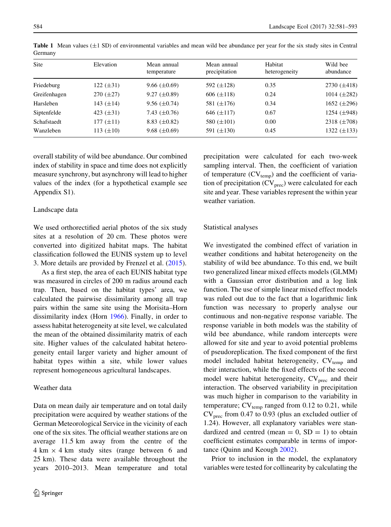| <b>Site</b>  | Elevation      | Mean annual<br>temperature | Mean annual<br>precipitation | Habitat<br>heterogeneity | Wild bee<br>abundance |  |  |  |
|--------------|----------------|----------------------------|------------------------------|--------------------------|-----------------------|--|--|--|
| Friedeburg   | 122 $(\pm 31)$ | $9.66 \ (\pm 0.69)$        | 592 $(\pm 128)$              | 0.35                     | 2730 $(\pm 418)$      |  |  |  |
| Greifenhagen | $270 (\pm 27)$ | $9.27 \ (\pm 0.89)$        | 606 $(\pm 118)$              | 0.24                     | 1014 $(\pm 282)$      |  |  |  |
| Harsleben    | 143 $(\pm 14)$ | $9.56 \ (\pm 0.74)$        | 581 $(\pm 176)$              | 0.34                     | 1652 $(\pm 296)$      |  |  |  |
| Siptenfelde  | 423 $(\pm 31)$ | 7.43 $(\pm 0.76)$          | 646 $(\pm 117)$              | 0.67                     | 1254 $(\pm 948)$      |  |  |  |
| Schafstaedt  | 177 $(\pm 11)$ | 8.83 $(\pm 0.82)$          | 580 $(\pm 101)$              | 0.00                     | 2318 $(\pm 708)$      |  |  |  |
| Wanzleben    | 113 $(\pm 10)$ | 9.68 $(\pm 0.69)$          | 591 $(\pm 130)$              | 0.45                     | 1322 $(\pm 133)$      |  |  |  |
|              |                |                            |                              |                          |                       |  |  |  |

<span id="page-3-0"></span>**Table 1** Mean values  $(\pm 1 \text{ SD})$  of environmental variables and mean wild bee abundance per year for the six study sites in Central Germany

overall stability of wild bee abundance. Our combined index of stability in space and time does not explicitly measure synchrony, but asynchrony will lead to higher values of the index (for a hypothetical example see Appendix S1).

## Landscape data

We used orthorectified aerial photos of the six study sites at a resolution of 20 cm. These photos were converted into digitized habitat maps. The habitat classification followed the EUNIS system up to level 3. More details are provided by Frenzel et al. [\(2015](#page-10-0)).

As a first step, the area of each EUNIS habitat type was measured in circles of 200 m radius around each trap. Then, based on the habitat types' area, we calculated the pairwise dissimilarity among all trap pairs within the same site using the Morisita–Horn dissimilarity index (Horn [1966\)](#page-11-0). Finally, in order to assess habitat heterogeneity at site level, we calculated the mean of the obtained dissimilarity matrix of each site. Higher values of the calculated habitat heterogeneity entail larger variety and higher amount of habitat types within a site, while lower values represent homogeneous agricultural landscapes.

# Weather data

Data on mean daily air temperature and on total daily precipitation were acquired by weather stations of the German Meteorological Service in the vicinity of each one of the six sites. The official weather stations are on average 11.5 km away from the centre of the  $4 \text{ km } \times 4 \text{ km}$  study sites (range between 6 and 25 km). These data were available throughout the years 2010–2013. Mean temperature and total precipitation were calculated for each two-week sampling interval. Then, the coefficient of variation of temperature  $(CV_{temp})$  and the coefficient of variation of precipitation  $(CV<sub>prec</sub>)$  were calculated for each site and year. These variables represent the within year weather variation.

## Statistical analyses

We investigated the combined effect of variation in weather conditions and habitat heterogeneity on the stability of wild bee abundance. To this end, we built two generalized linear mixed effects models (GLMM) with a Gaussian error distribution and a log link function. The use of simple linear mixed effect models was ruled out due to the fact that a logarithmic link function was necessary to properly analyse our continuous and non-negative response variable. The response variable in both models was the stability of wild bee abundance, while random intercepts were allowed for site and year to avoid potential problems of pseudoreplication. The fixed component of the first model included habitat heterogeneity,  $CV_{temp}$  and their interaction, while the fixed effects of the second model were habitat heterogeneity,  $CV<sub>prec</sub>$  and their interaction. The observed variability in precipitation was much higher in comparison to the variability in temperature;  $CV_{temp}$  ranged from 0.12 to 0.21, while  $CV<sub>prec</sub>$  from 0.47 to 0.93 (plus an excluded outlier of 1.24). However, all explanatory variables were standardized and centred (mean  $= 0$ ,  $SD = 1$ ) to obtain coefficient estimates comparable in terms of importance (Quinn and Keough [2002\)](#page-11-0).

Prior to inclusion in the model, the explanatory variables were tested for collinearity by calculating the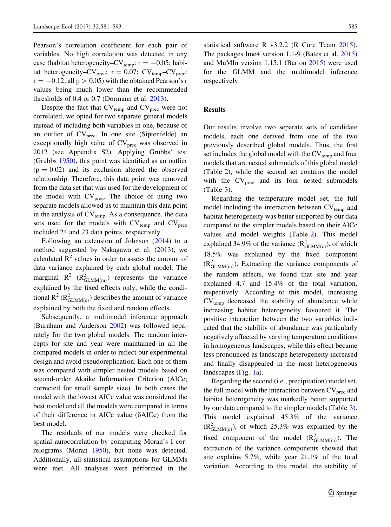Pearson's correlation coefficient for each pair of variables. No high correlation was detected in any case (habitat heterogeneity– $CV_{temp}$ :  $r = -0.05$ ; habitat heterogeneity– $CV_{prec}$ :  $r = 0.07$ ;  $CV_{temp}$ – $CV_{prec}$ :  $r = -0.12$ ; all  $p > 0.05$ ) with the obtained Pearson's r values being much lower than the recommended thresholds of 0.4 or 0.7 (Dormann et al. [2013\)](#page-10-0).

Despite the fact that  $CV_{temp}$  and  $CV_{prec}$  were not correlated, we opted for two separate general models instead of including both variables in one, because of an outlier of  $CV<sub>prec</sub>$ . In one site (Siptenfelde) an exceptionally high value of  $CV<sub>prec</sub>$  was observed in 2012 (see Appendix S2). Applying Grubbs' test (Grubbs [1950](#page-10-0)), this point was identified as an outlier  $(p = 0.02)$  and its exclusion altered the observed relationship. Therefore, this data point was removed from the data set that was used for the development of the model with  $CV<sub>prec</sub>$ . The choice of using two separate models allowed us to maintain this data point in the analysis of  $CV_{temp}$ . As a consequence, the data sets used for the models with  $CV_{temp}$  and  $CV_{prec}$ included 24 and 23 data points, respectively.

Following an extension of Johnson ([2014\)](#page-11-0) to a method suggested by Nakagawa et al. ([2013\)](#page-11-0), we calculated  $R^2$  values in order to assess the amount of data variance explained by each global model. The marginal  $R^2$  ( $R^2_{\text{GLMM(m)}}$ ) represents the variance explained by the fixed effects only, while the conditional  $R^2$  ( $R^2_{\text{GLMM}(c)}$ ) describes the amount of variance explained by both the fixed and random effects.

Subsequently, a multimodel inference approach (Burnham and Anderson [2002\)](#page-10-0) was followed separately for the two global models. The random intercepts for site and year were maintained in all the compared models in order to reflect our experimental design and avoid pseudoreplication. Each one of them was compared with simpler nested models based on second-order Akaike Information Criterion (AICc; corrected for small sample size). In both cases the model with the lowest AICc value was considered the best model and all the models were compared in terms of their difference in AICc value  $(\delta AICc)$  from the best model.

The residuals of our models were checked for spatial autocorrelation by computing Moran's I correlograms (Moran [1950\)](#page-11-0), but none was detected. Additionally, all statistical assumptions for GLMMs were met. All analyses were performed in the

statistical software R v3.2.2 (R Core Team [2015](#page-11-0)). The packages lme4 version 1.1-9 (Bates et al. [2015\)](#page-10-0) and MuMIn version 1.15.1 (Barton [2015](#page-10-0)) were used for the GLMM and the multimodel inference respectively.

## Results

Our results involve two separate sets of candidate models, each one derived from one of the two previously described global models. Thus, the first set includes the global model with the  $CV_{temp}$  and four models that are nested submodels of this global model (Table [2](#page-5-0)), while the second set contains the model with the  $CV<sub>prec</sub>$  and its four nested submodels (Table [3](#page-5-0)).

Regarding the temperature model set, the full model including the interaction between  $CV_{temp}$  and habitat heterogeneity was better supported by our data compared to the simpler models based on their AICc values and model weights (Table [2\)](#page-5-0). This model explained 34.9% of the variance  $(R<sub>GLMM(c)</sub><sup>2</sup>)$ , of which 18.5% was explained by the fixed component  $(R<sub>GLMM(m)</sub><sup>2</sup>)$ . Extracting the variance components of the random effects, we found that site and year explained 4.7 and 15.4% of the total variation, respectively. According to this model, increasing  $CV_{temp}$  decreased the stability of abundance while increasing habitat heterogeneity favoured it. The positive interaction between the two variables indicated that the stability of abundance was particularly negatively affected by varying temperature conditions in homogeneous landscapes, while this effect became less pronounced as landscape heterogeneity increased and finally disappeared in the most heterogeneous landscapes (Fig. [1](#page-8-0)a).

Regarding the second (i.e., precipitation) model set, the full model with the interaction between  $CV<sub>prec</sub>$  and habitat heterogeneity was markedly better supported by our data compared to the simpler models (Table [3](#page-5-0)). This model explained 45.3% of the variance  $(R^2_{\text{GLMM}(c)})$ , of which 25.3% was explained by the fixed component of the model  $(R^2_{\text{GLMM}(m)})$ . The extraction of the variance components showed that site explains 5.7%, while year 21.1% of the total variation. According to this model, the stability of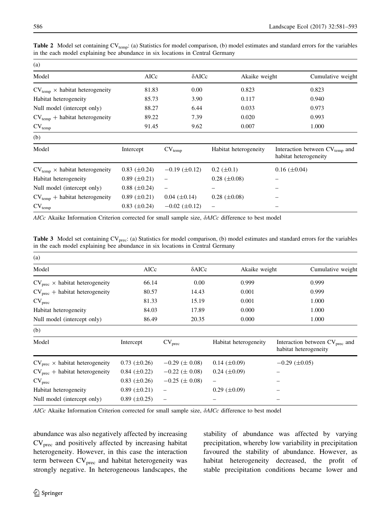| (a)                                 |                     |                       |                       |                                                                     |
|-------------------------------------|---------------------|-----------------------|-----------------------|---------------------------------------------------------------------|
| Model                               | AICc                | $\delta$ AICc         | Akaike weight         | Cumulative weight                                                   |
| $CV_{temp}$ × habitat heterogeneity | 81.83               | 0.00                  | 0.823                 | 0.823                                                               |
| Habitat heterogeneity               | 85.73               | 3.90                  | 0.117                 | 0.940                                                               |
| Null model (intercept only)         | 88.27               | 6.44                  | 0.033                 | 0.973                                                               |
| $CV_{temp}$ + habitat heterogeneity | 89.22               | 7.39                  | 0.020                 | 0.993                                                               |
| $\mathrm{CV}_\mathrm{temp}$         | 91.45               | 9.62                  | 0.007                 | 1.000                                                               |
| (b)                                 |                     |                       |                       |                                                                     |
| Model                               | Intercept           | $CV_{temp}$           | Habitat heterogeneity | Interaction between CV <sub>temp</sub> and<br>habitat heterogeneity |
| $CV_{temp}$ × habitat heterogeneity | $0.83~(\pm 0.24)$   | $-0.19$ ( $\pm$ 0.12) | $0.2~(\pm 0.1)$       | $0.16 \ (\pm 0.04)$                                                 |
| Habitat heterogeneity               | $0.89 \ (\pm 0.21)$ |                       | $0.28~(\pm 0.08)$     |                                                                     |
| Null model (intercept only)         | $0.88~(\pm 0.24)$   |                       |                       |                                                                     |
| $CV_{temp}$ + habitat heterogeneity | $0.89 \ (\pm 0.21)$ | $0.04~(\pm 0.14)$     | $0.28~(\pm 0.08)$     |                                                                     |
| $CV_{temp}$                         | $0.83~(\pm 0.24)$   | $-0.02$ ( $\pm$ 0.12) |                       |                                                                     |

<span id="page-5-0"></span>Table 2 Model set containing  $CV_{temp}$ : (a) Statistics for model comparison, (b) model estimates and standard errors for the variables in the each model explaining bee abundance in six locations in Central Germany

AICc Akaike Information Criterion corrected for small sample size,  $\delta AICc$  difference to best model

Table 3 Model set containing CV<sub>prec</sub>: (a) Statistics for model comparison, (b) model estimates and standard errors for the variables in the each model explaining bee abundance in six locations in Central Germany

| (a)                                   |                     |                      |                          |                                                                     |
|---------------------------------------|---------------------|----------------------|--------------------------|---------------------------------------------------------------------|
| Model                                 | AICc                | $\delta AICc$        | Akaike weight            | Cumulative weight                                                   |
| $CVprec$ × habitat heterogeneity      | 66.14               | 0.00                 | 0.999                    | 0.999                                                               |
| $CVprec$ + habitat heterogeneity      | 80.57               | 14.43                | 0.001                    | 0.999                                                               |
| CV <sub>prec</sub>                    | 81.33               | 15.19                | 0.001                    | 1.000                                                               |
| Habitat heterogeneity                 | 84.03               | 17.89                | 0.000                    | 1.000                                                               |
| Null model (intercept only)           | 86.49               | 20.35                | 0.000                    | 1.000                                                               |
| (b)                                   |                     |                      |                          |                                                                     |
| Model                                 | Intercept           | CV <sub>prec</sub>   | Habitat heterogeneity    | Interaction between CV <sub>prec</sub> and<br>habitat heterogeneity |
| $CVprec \times$ habitat heterogeneity | $0.73~(\pm 0.26)$   | $-0.29 \ (\pm 0.08)$ | $0.14~(\pm 0.09)$        | $-0.29$ ( $\pm 0.05$ )                                              |
| $CVprec$ + habitat heterogeneity      | $0.84~(\pm 0.22)$   | $-0.22 \ (\pm 0.08)$ | $0.24~(\pm 0.09)$        |                                                                     |
| CV <sub>prec</sub>                    | $0.83~(\pm 0.26)$   | $-0.25 \ (\pm 0.08)$ | $\overline{\phantom{0}}$ |                                                                     |
| Habitat heterogeneity                 | $0.89 \ (\pm 0.21)$ | -                    | $0.29$ ( $\pm 0.09$ )    |                                                                     |
| Null model (intercept only)           | $0.89 \ (\pm 0.25)$ | -                    |                          |                                                                     |

AICc Akaike Information Criterion corrected for small sample size,  $\delta AICc$  difference to best model

abundance was also negatively affected by increasing CVprec and positively affected by increasing habitat heterogeneity. However, in this case the interaction term between  $CV<sub>prec</sub>$  and habitat heterogeneity was strongly negative. In heterogeneous landscapes, the stability of abundance was affected by varying precipitation, whereby low variability in precipitation favoured the stability of abundance. However, as habitat heterogeneity decreased, the profit of stable precipitation conditions became lower and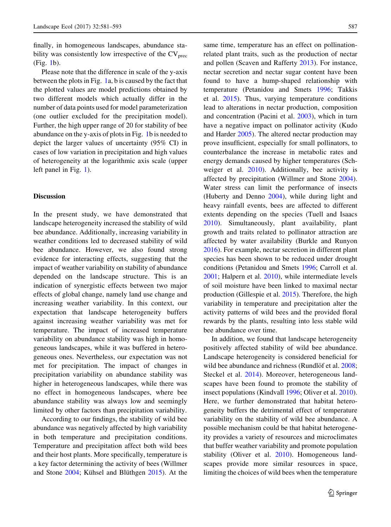finally, in homogeneous landscapes, abundance stability was consistently low irrespective of the  $CV<sub>prec</sub>$ (Fig. [1](#page-8-0)b).

Please note that the difference in scale of the y-axis between the plots in Fig. [1](#page-8-0)a, b is caused by the fact that the plotted values are model predictions obtained by two different models which actually differ in the number of data points used for model parameterization (one outlier excluded for the precipitation model). Further, the high upper range of 20 for stability of bee abundance on the y-axis of plots in Fig. [1b](#page-8-0) is needed to depict the larger values of uncertainty (95% CI) in cases of low variation in precipitation and high values of heterogeneity at the logarithmic axis scale (upper left panel in Fig. [1](#page-8-0)).

## **Discussion**

In the present study, we have demonstrated that landscape heterogeneity increased the stability of wild bee abundance. Additionally, increasing variability in weather conditions led to decreased stability of wild bee abundance. However, we also found strong evidence for interacting effects, suggesting that the impact of weather variability on stability of abundance depended on the landscape structure. This is an indication of synergistic effects between two major effects of global change, namely land use change and increasing weather variability. In this context, our expectation that landscape heterogeneity buffers against increasing weather variability was met for temperature. The impact of increased temperature variability on abundance stability was high in homogeneous landscapes, while it was buffered in heterogeneous ones. Nevertheless, our expectation was not met for precipitation. The impact of changes in precipitation variability on abundance stability was higher in heterogeneous landscapes, while there was no effect in homogeneous landscapes, where bee abundance stability was always low and seemingly limited by other factors than precipitation variability.

According to our findings, the stability of wild bee abundance was negatively affected by high variability in both temperature and precipitation conditions. Temperature and precipitation affect both wild bees and their host plants. More specifically, temperature is a key factor determining the activity of bees (Willmer and Stone [2004;](#page-12-0) Kühsel and Blüthgen [2015](#page-11-0)). At the same time, temperature has an effect on pollinationrelated plant traits, such as the production of nectar and pollen (Scaven and Rafferty [2013](#page-11-0)). For instance, nectar secretion and nectar sugar content have been found to have a hump-shaped relationship with temperature (Petanidou and Smets [1996](#page-11-0); Takkis et al. [2015\)](#page-12-0). Thus, varying temperature conditions lead to alterations in nectar production, composition and concentration (Pacini et al. [2003](#page-11-0)), which in turn have a negative impact on pollinator activity (Kudo and Harder [2005\)](#page-11-0). The altered nectar production may prove insufficient, especially for small pollinators, to counterbalance the increase in metabolic rates and energy demands caused by higher temperatures (Schweiger et al. [2010\)](#page-11-0). Additionally, bee activity is affected by precipitation (Willmer and Stone [2004](#page-12-0)). Water stress can limit the performance of insects (Huberty and Denno [2004](#page-11-0)), while during light and heavy rainfall events, bees are affected to different extents depending on the species (Tuell and Isaacs [2010\)](#page-12-0). Simultaneously, plant availability, plant growth and traits related to pollinator attraction are affected by water availability (Burkle and Runyon [2016\)](#page-10-0). For example, nectar secretion in different plant species has been shown to be reduced under drought conditions (Petanidou and Smets [1996](#page-11-0); Carroll et al. [2001;](#page-10-0) Halpern et al. [2010](#page-11-0)), while intermediate levels of soil moisture have been linked to maximal nectar production (Gillespie et al. [2015\)](#page-10-0). Therefore, the high variability in temperature and precipitation alter the activity patterns of wild bees and the provided floral rewards by the plants, resulting into less stable wild bee abundance over time.

In addition, we found that landscape heterogeneity positively affected stability of wild bee abundance. Landscape heterogeneity is considered beneficial for wild bee abundance and richness (Rundlöf et al. [2008](#page-11-0); Steckel et al. [2014\)](#page-12-0). Moreover, heterogeneous landscapes have been found to promote the stability of insect populations (Kindvall [1996](#page-11-0); Oliver et al. [2010](#page-11-0)). Here, we further demonstrated that habitat heterogeneity buffers the detrimental effect of temperature variability on the stability of wild bee abundance. A possible mechanism could be that habitat heterogeneity provides a variety of resources and microclimates that buffer weather variability and promote population stability (Oliver et al. [2010](#page-11-0)). Homogeneous landscapes provide more similar resources in space, limiting the choices of wild bees when the temperature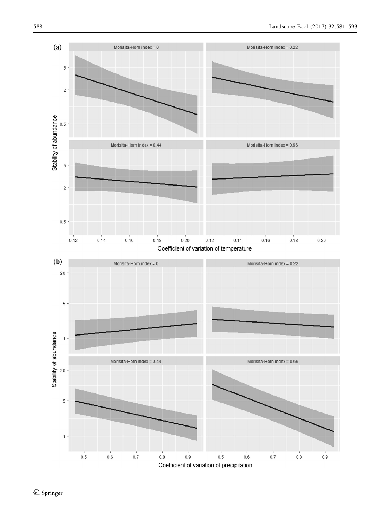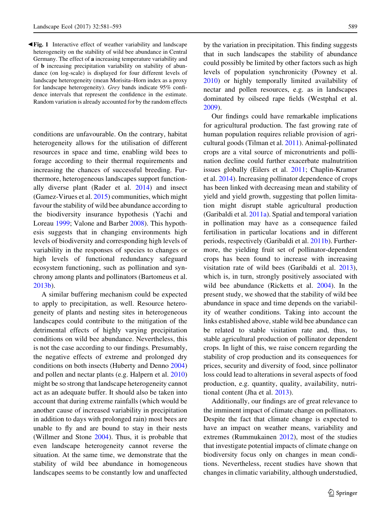<span id="page-8-0"></span>b Fig. 1 Interactive effect of weather variability and landscape heterogeneity on the stability of wild bee abundance in Central Germany. The effect of a increasing temperature variability and of b increasing precipitation variability on stability of abundance (on log-scale) is displayed for four different levels of landscape heterogeneity (mean Morisita–Horn index as a proxy for landscape heterogeneity). Grey bands indicate 95% confidence intervals that represent the confidence in the estimate. Random variation is already accounted for by the random effects

conditions are unfavourable. On the contrary, habitat heterogeneity allows for the utilisation of different resources in space and time, enabling wild bees to forage according to their thermal requirements and increasing the chances of successful breeding. Furthermore, heterogeneous landscapes support functionally diverse plant (Rader et al. [2014\)](#page-11-0) and insect (Gamez-Virues et al. [2015](#page-10-0)) communities, which might favour the stability of wild bee abundance according to the biodiversity insurance hypothesis (Yachi and Loreau [1999;](#page-12-0) Valone and Barber [2008](#page-12-0)). This hypothesis suggests that in changing environments high levels of biodiversity and corresponding high levels of variability in the responses of species to changes or high levels of functional redundancy safeguard ecosystem functioning, such as pollination and synchrony among plants and pollinators (Bartomeus et al. [2013b\)](#page-10-0).

A similar buffering mechanism could be expected to apply to precipitation, as well. Resource heterogeneity of plants and nesting sites in heterogeneous landscapes could contribute to the mitigation of the detrimental effects of highly varying precipitation conditions on wild bee abundance. Nevertheless, this is not the case according to our findings. Presumably, the negative effects of extreme and prolonged dry conditions on both insects (Huberty and Denno [2004\)](#page-11-0) and pollen and nectar plants (e.g. Halpern et al. [2010\)](#page-11-0) might be so strong that landscape heterogeneity cannot act as an adequate buffer. It should also be taken into account that during extreme rainfalls (which would be another cause of increased variability in precipitation in addition to days with prolonged rain) most bees are unable to fly and are bound to stay in their nests (Willmer and Stone [2004](#page-12-0)). Thus, it is probable that even landscape heterogeneity cannot reverse the situation. At the same time, we demonstrate that the stability of wild bee abundance in homogeneous landscapes seems to be constantly low and unaffected

by the variation in precipitation. This finding suggests that in such landscapes the stability of abundance could possibly be limited by other factors such as high levels of population synchronicity (Powney et al. [2010\)](#page-11-0) or highly temporally limited availability of nectar and pollen resources, e.g. as in landscapes dominated by oilseed rape fields (Westphal et al. [2009\)](#page-12-0).

Our findings could have remarkable implications for agricultural production. The fast growing rate of human population requires reliable provision of agricultural goods (Tilman et al. [2011\)](#page-12-0). Animal-pollinated crops are a vital source of micronutrients and pollination decline could further exacerbate malnutrition issues globally (Eilers et al. [2011](#page-10-0); Chaplin-Kramer et al. [2014](#page-10-0)). Increasing pollinator dependence of crops has been linked with decreasing mean and stability of yield and yield growth, suggesting that pollen limitation might disrupt stable agricultural production (Garibaldi et al. [2011a](#page-10-0)). Spatial and temporal variation in pollination may have as a consequence failed fertilisation in particular locations and in different periods, respectively (Garibaldi et al. [2011b](#page-10-0)). Furthermore, the yielding fruit set of pollinator-dependent crops has been found to increase with increasing visitation rate of wild bees (Garibaldi et al. [2013](#page-10-0)), which is, in turn, strongly positively associated with wild bee abundance (Ricketts et al. [2004\)](#page-11-0). In the present study, we showed that the stability of wild bee abundance in space and time depends on the variability of weather conditions. Taking into account the links established above, stable wild bee abundance can be related to stable visitation rate and, thus, to stable agricultural production of pollinator dependent crops. In light of this, we raise concern regarding the stability of crop production and its consequences for prices, security and diversity of food, since pollinator loss could lead to alterations in several aspects of food production, e.g. quantity, quality, availability, nutritional content (Jha et al. [2013\)](#page-11-0).

Additionally, our findings are of great relevance to the imminent impact of climate change on pollinators. Despite the fact that climate change is expected to have an impact on weather means, variability and extremes (Rummukainen [2012](#page-11-0)), most of the studies that investigate potential impacts of climate change on biodiversity focus only on changes in mean conditions. Nevertheless, recent studies have shown that changes in climatic variability, although understudied,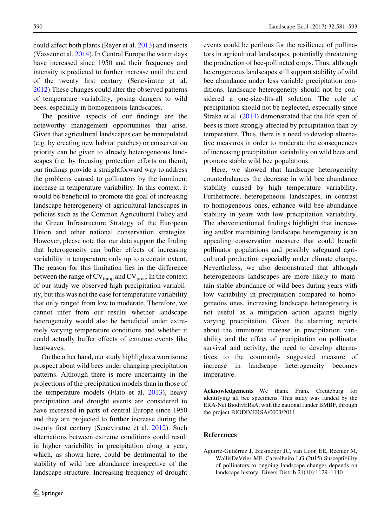<span id="page-9-0"></span>could affect both plants (Reyer et al. [2013\)](#page-11-0) and insects (Vasseur et al. [2014\)](#page-12-0). In Central Europe the warm days have increased since 1950 and their frequency and intensity is predicted to further increase until the end of the twenty first century (Seneviratne et al. [2012\)](#page-11-0).These changes could alter the observed patterns of temperature variability, posing dangers to wild bees, especially in homogeneous landscapes.

The positive aspects of our findings are the noteworthy management opportunities that arise. Given that agricultural landscapes can be manipulated (e.g. by creating new habitat patches) or conservation priority can be given to already heterogeneous landscapes (i.e. by focusing protection efforts on them), our findings provide a straightforward way to address the problems caused to pollinators by the imminent increase in temperature variability. In this context, it would be beneficial to promote the goal of increasing landscape heterogeneity of agricultural landscapes in policies such as the Common Agricultural Policy and the Green Infrastructure Strategy of the European Union and other national conservation strategies. However, please note that our data support the finding that heterogeneity can buffer effects of increasing variability in temperature only up to a certain extent. The reason for this limitation lies in the difference between the range of  $CV_{temp}$  and  $CV_{prec}$ . In the context of our study we observed high precipitation variability, but this was not the case for temperature variability that only ranged from low to moderate. Therefore, we cannot infer from our results whether landscape heterogeneity would also be beneficial under extremely varying temperature conditions and whether it could actually buffer effects of extreme events like heatwaves.

On the other hand, our study highlights a worrisome prospect about wild bees under changing precipitation patterns. Although there is more uncertainty in the projections of the precipitation models than in those of the temperature models (Flato et al. [2013](#page-10-0)), heavy precipitation and drought events are considered to have increased in parts of central Europe since 1950 and they are projected to further increase during the twenty first century (Seneviratne et al. [2012](#page-11-0)). Such alternations between extreme conditions could result in higher variability in precipitation along a year, which, as shown here, could be detrimental to the stability of wild bee abundance irrespective of the landscape structure. Increasing frequency of drought events could be perilous for the resilience of pollinators in agricultural landscapes, potentially threatening the production of bee-pollinated crops. Thus, although heterogeneous landscapes still support stability of wild bee abundance under less variable precipitation conditions, landscape heterogeneity should not be considered a one-size-fits-all solution. The role of precipitation should not be neglected, especially since Straka et al. [\(2014](#page-12-0)) demonstrated that the life span of bees is more strongly affected by precipitation than by temperature. Thus, there is a need to develop alternative measures in order to moderate the consequences of increasing precipitation variability on wild bees and promote stable wild bee populations.

Here, we showed that landscape heterogeneity counterbalances the decrease in wild bee abundance stability caused by high temperature variability. Furthermore, heterogeneous landscapes, in contrast to homogeneous ones, enhance wild bee abundance stability in years with low precipitation variability. The abovementioned findings highlight that increasing and/or maintaining landscape heterogeneity is an appealing conservation measure that could benefit pollinator populations and possibly safeguard agricultural production especially under climate change. Nevertheless, we also demonstrated that although heterogeneous landscapes are more likely to maintain stable abundance of wild bees during years with low variability in precipitation compared to homogeneous ones, increasing landscape heterogeneity is not useful as a mitigation action against highly varying precipitation. Given the alarming reports about the imminent increase in precipitation variability and the effect of precipitation on pollinator survival and activity, the need to develop alternatives to the commonly suggested measure of increase in landscape heterogeneity becomes imperative.

Acknowledgements We thank Frank Creutzburg for identifying all bee specimens. This study was funded by the ERA-Net BiodivERsA, with the national funder BMBF, through the project BIODIVERSA/0003/2011.

#### References

Aguirre-Gutiérrez J, Biesmeijer JC, van Loon EE, Reemer M, WallisDeVries MF, Carvalheiro LG (2015) Susceptibility of pollinators to ongoing landscape changes depends on landscape history. Divers Distrib 21(10):1129–1140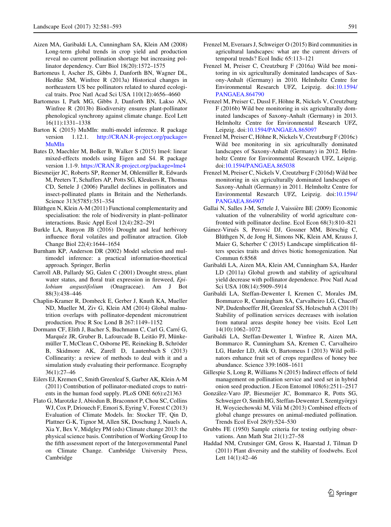- <span id="page-10-0"></span>Aizen MA, Garibaldi LA, Cunningham SA, Klein AM (2008) Long-term global trends in crop yield and production reveal no current pollination shortage but increasing pollinator dependency. Curr Biol 18(20):1572–1575
- Bartomeus I, Ascher JS, Gibbs J, Danforth BN, Wagner DL, Hedtke SM, Winfree R (2013a) Historical changes in northeastern US bee pollinators related to shared ecological traits. Proc Natl Acad Sci USA 110(12):4656–4660
- Bartomeus I, Park MG, Gibbs J, Danforth BN, Lakso AN, Winfree R (2013b) Biodiversity ensures plant-pollinator phenological synchrony against climate change. Ecol Lett 16(11):1331–1338
- Barton K (2015) MuMIn: multi-model inference. R package version 1.12.1. [http://CRAN.R-project.org/package=](http://CRAN.R-project.org/package%3dMuMIn) [MuMIn](http://CRAN.R-project.org/package%3dMuMIn)
- Bates D, Maechler M, Bolker B, Walker S (2015) lme4: linear mixed-effects models using Eigen and S4. R package version 1.1-9. [https://CRAN.R-project.org/package=lme4](https://CRAN.R-project.org/package%3dlme4)
- Biesmeijer JC, Roberts SP, Reemer M, Ohlemüller R, Edwards M, Peeters T, Schaffers AP, Potts SG, Kleukers R, Thomas CD, Settele J (2006) Parallel declines in pollinators and insect-pollinated plants in Britain and the Netherlands. Science 313(5785):351–354
- Blüthgen N, Klein A-M (2011) Functional complementarity and specialisation: the role of biodiversity in plant–pollinator interactions. Basic Appl Ecol 12(4):282–291
- Burkle LA, Runyon JB (2016) Drought and leaf herbivory influence floral volatiles and pollinator attraction. Glob Change Biol 22(4):1644–1654
- Burnham KP, Anderson DR (2002) Model selection and multimodel inference: a practical information-theoretical approach. Springer, Berlin
- Carroll AB, Pallardy SG, Galen C (2001) Drought stress, plant water status, and floral trait expression in fireweed, Epilobium angustifolium (Onagraceae). Am J Bot 88(3):438–446
- Chaplin-Kramer R, Dombeck E, Gerber J, Knuth KA, Mueller ND, Mueller M, Ziv G, Klein AM (2014) Global malnutrition overlaps with pollinator-dependent micronutrient production. Proc R Soc Lond B 267:1149–1152
- Dormann CF, Elith J, Bacher S, Buchmann C, Carl G, Carre´ G, Marquéz JR, Gruber B, Lafourcade B, Leitão PJ, Münkemüller T, McClean C, Osborne PE, Reineking B, Schröder B, Skidmore AK, Zurell D, Lautenbach S (2013) Collinearity: a review of methods to deal with it and a simulation study evaluating their performance. Ecography 36(1):27–46
- Eilers EJ, Kremen C, Smith Greenleaf S, Garber AK, Klein A-M (2011) Contribution of pollinator-mediated crops to nutrients in the human food supply. PLoS ONE 6(6):e21363
- Flato G, Marotzke J, Abiodun B, Braconnot P, Chou SC, Collins WJ, Cox P, Driouech F, Emori S, Eyring V, Forest C (2013) Evaluation of Climate Models. In: Stocker TF, Qin D, Plattner G-K, Tignor M, Allen SK, Doschung J, Nauels A, Xia Y, Bex V, Midgley PM (eds) Climate change 2013: the physical science basis. Contribution of Working Group I to the fifth assessment report of the Intergovernmental Panel on Climate Change. Cambridge University Press, Cambridge
- Frenzel M, Everaars J, Schweiger O (2015) Bird communities in agricultural landscapes: what are the current drivers of temporal trends? Ecol Indic 65:113–121
- Frenzel M, Preiser C, Creutzburg F (2016a) Wild bee monitoring in six agriculturally dominated landscapes of Saxony-Anhalt (Germany) in 2010. Helmholtz Centre for Environmental Research UFZ, Leipzig. doi[:10.1594/](http://dx.doi.org/10.1594/PANGAEA.864790) [PANGAEA.864790](http://dx.doi.org/10.1594/PANGAEA.864790)
- Frenzel M, Preiser C, Dussl F, Höhne R, Nickels V, Creutzburg F (2016b) Wild bee monitoring in six agriculturally dominated landscapes of Saxony-Anhalt (Germany) in 2013. Helmholtz Centre for Environmental Research UFZ, Leipzig. doi:[10.1594/PANGAEA.865097](http://dx.doi.org/10.1594/PANGAEA.865097)
- Frenzel M, Preiser C, Höhne R, Nickels V, Creutzburg F (2016c) Wild bee monitoring in six agriculturally dominated landscapes of Saxony-Anhalt (Germany) in 2012. Helmholtz Centre for Environmental Research UFZ, Leipzig. doi[:10.1594/PANGAEA.865038](http://dx.doi.org/10.1594/PANGAEA.865038)
- Frenzel M, Preiser C, Nickels V, Creutzburg F (2016d) Wild bee monitoring in six agriculturally dominated landscapes of Saxony-Anhalt (Germany) in 2011. Helmholtz Centre for Environmental Research UFZ, Leipzig. doi[:10.1594/](http://dx.doi.org/10.1594/PANGAEA.864907) [PANGAEA.864907](http://dx.doi.org/10.1594/PANGAEA.864907)
- Gallai N, Salles J-M, Settele J, Vaissière BE (2009) Economic valuation of the vulnerability of world agriculture confronted with pollinator decline. Ecol Econ 68(3):810–821
- Gámez-Virués S, Perović DJ, Gossner MM, Börschig C, Blüthgen N, de Jong H, Simons NK, Klein AM, Krauss J, Maier G, Scherber C (2015) Landscape simplification filters species traits and drives biotic homogenization. Nat Commun 6:8568
- Garibaldi LA, Aizen MA, Klein AM, Cunningham SA, Harder LD (2011a) Global growth and stability of agricultural yield decrease with pollinator dependence. Proc Natl Acad Sci USA 108(14):5909–5914
- Garibaldi LA, Steffan-Dewenter I, Kremen C, Morales JM, Bommarco R, Cunningham SA, Carvalheiro LG, Chacoff NP, Dudenhoeffer JH, Greenleaf SS, Holzschuh A (2011b) Stability of pollination services decreases with isolation from natural areas despite honey bee visits. Ecol Lett 14(10):1062–1072
- Garibaldi LA, Steffan-Dewenter I, Winfree R, Aizen MA, Bommarco R, Cunningham SA, Kremen C, Carvalheiro LG, Harder LD, Afik O, Bartomeus I (2013) Wild pollinators enhance fruit set of crops regardless of honey bee abundance. Science 339:1608–1611
- Gillespie S, Long R, Williams N (2015) Indirect effects of field management on pollination service and seed set in hybrid onion seed production. J Econ Entomol 108(6):2511–2517
- González-Varo JP, Biesmeijer JC, Bommarco R, Potts SG, Schweiger O, Smith HG, Steffan-Dewenter I, Szentgyörgyi H, Woyciechowski M, Vilà M (2013) Combined effects of global change pressures on animal-mediated pollination. Trends Ecol Evol 28(9):524–530
- Grubbs FE (1950) Sample criteria for testing outlying observations. Ann Math Stat 21(1):27–58
- Haddad NM, Crutsinger GM, Gross K, Haarstad J, Tilman D (2011) Plant diversity and the stability of foodwebs. Ecol Lett 14(1):42–46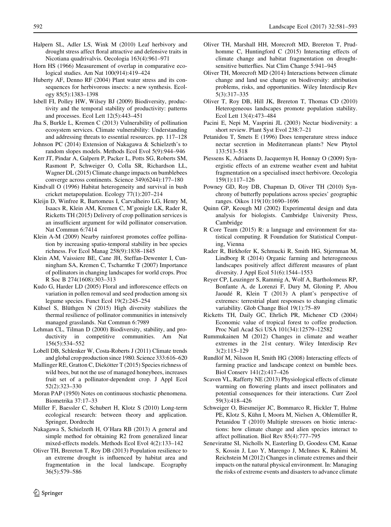- <span id="page-11-0"></span>Halpern SL, Adler LS, Wink M (2010) Leaf herbivory and drought stress affect floral attractive and defensive traits in Nicotiana quadrivalvis. Oecologia 163(4):961–971
- Horn HS (1966) Measurement of overlap in comparative ecological studies. Am Nat 100(914):419–424
- Huberty AF, Denno RF (2004) Plant water stress and its consequences for herbivorous insects: a new synthesis. Ecology 85(5):1383–1398
- Isbell FI, Polley HW, Wilsey BJ (2009) Biodiversity, productivity and the temporal stability of productivity: patterns and processes. Ecol Lett 12(5):443–451
- Jha S, Burkle L, Kremen C (2013) Vulnerability of pollination ecosystem services. Climate vulnerability: Understanding and addressing threats to essential resources. pp. 117–128
- Johnson PC (2014) Extension of Nakagawa & Schielzeth's to random slopes models. Methods Ecol Evol 5(9):944–946
- Kerr JT, Pindar A, Galpern P, Packer L, Potts SG, Roberts SM, Rasmont P, Schweiger O, Colla SR, Richardson LL, Wagner DL (2015) Climate change impacts on bumblebees converge across continents. Science 349(6244):177–180
- Kindvall O (1996) Habitat heterogeneity and survival in bush cricket metapopulation. Ecology 77(1):207–214
- Kleijn D, Winfree R, Bartomeus I, Carvalheiro LG, Henry M, Isaacs R, Klein AM, Kremen C, M'gonigle LK, Rader R, Ricketts TH (2015) Delivery of crop pollination services is an insufficient argument for wild pollinator conservation. Nat Commun 6:7414
- Klein A-M (2009) Nearby rainforest promotes coffee pollination by increasing spatio-temporal stability in bee species richness. For Ecol Manag 258(9):1838–1845
- Klein AM, Vaissiere BE, Cane JH, Steffan-Dewenter I, Cunningham SA, Kremen C, Tscharntke T (2007) Importance of pollinators in changing landscapes for world crops. Proc R Soc B 274(1608):303–313
- Kudo G, Harder LD (2005) Floral and inflorescence effects on variation in pollen removal and seed production among six legume species. Funct Ecol 19(2):245–254
- Kühsel S, Blüthgen N (2015) High diversity stabilizes the thermal resilience of pollinator communities in intensively managed grasslands. Nat Commun 6:7989
- Lehman CL, Tilman D (2000) Biodiversity, stability, and productivity in competitive communities. Am Nat 156(5):534–552
- Lobell DB, Schlenker W, Costa-Roberts J (2011) Climate trends and global crop production since 1980. Science 333:616–620
- Mallinger RE, Gratton C, Diekötter T (2015) Species richness of wild bees, but not the use of managed honeybees, increases fruit set of a pollinator-dependent crop. J Appl Ecol 52(2):323–330
- Moran PAP (1950) Notes on continuous stochastic phenomena. Biometrika 37:17–33
- Müller F, Baessler C, Schubert H, Klotz S (2010) Long-term ecological research: between theory and application. Springer, Dordrecht
- Nakagawa S, Schielzeth H, O'Hara RB (2013) A general and simple method for obtaining R2 from generalized linear mixed-effects models. Methods Ecol Evol 4(2):133–142
- Oliver TH, Brereton T, Roy DB (2013) Population resilience to an extreme drought is influenced by habitat area and fragmentation in the local landscape. Ecography 36(5):579–586
- Oliver TH, Marshall HH, Morecroft MD, Brereton T, Prudhomme C, Huntingford C (2015) Interacting effects of climate change and habitat fragmentation on droughtsensitive butterflies. Nat Clim Change 5:941–945
- Oliver TH, Morecroft MD (2014) Interactions between climate change and land use change on biodiversity: attribution problems, risks, and opportunities. Wiley Interdiscip Rev 5(3):317–335
- Oliver T, Roy DB, Hill JK, Brereton T, Thomas CD (2010) Heterogeneous landscapes promote population stability. Ecol Lett 13(4):473–484
- Pacini E, Nepi M, Vasprini JL (2003) Nectar biodiversity: a short review. Plant Syst Evol 238:7–21
- Petanidou T, Smets E (1996) Does temperature stress induce nectar secretion in Mediterranean plants? New Phytol 133:513–518
- Piessens K, Adriaens D, Jacquemyn H, Honnay O (2009) Synergistic effects of an extreme weather event and habitat fragmentation on a specialised insect herbivore. Oecologia 159(1):117–126
- Powney GD, Roy DB, Chapman D, Oliver TH (2010) Synchrony of butterfly populations across species' geographic ranges. Oikos 119(10):1690–1696
- Quinn GP, Keough MJ (2002) Experimental design and data analysis for biologists. Cambridge University Press, Cambridge
- R Core Team (2015) R: a language and environment for statistical computing. R Foundation for Statistical Computing, Vienna
- Rader R, Birkhofer K, Schmucki R, Smith HG, Stjernman M, Lindborg R (2014) Organic farming and heterogeneous landscapes positively affect different measures of plant diversity. J Appl Ecol 51(6):1544–1553
- Reyer CP, Leuzinger S, Rammig A, Wolf A, Bartholomeus RP, Bonfante A, de Lorenzi F, Dury M, Gloning P, Abou Jaoudé R, Klein T (2013) A plant's perspective of extremes: terrestrial plant responses to changing climatic variability. Glob Change Biol 19(1):75–89
- Ricketts TH, Daily GC, Ehrlich PR, Michener CD (2004) Economic value of tropical forest to coffee production. Proc Natl Acad Sci USA 101(34):12579–12582
- Rummukainen M (2012) Changes in climate and weather extremes in the 21st century. Wiley Interdiscip Rev 3(2):115–129
- Rundlöf M, Nilsson H, Smith HG (2008) Interacting effects of farming practice and landscape context on bumble bees. Biol Conserv 141(2):417–426
- Scaven VL, Rafferty NE (2013) Physiological effects of climate warming on flowering plants and insect pollinators and potential consequences for their interactions. Curr Zool 59(3):418–426
- Schweiger O, Biesmeijer JC, Bommarco R, Hickler T, Hulme PE, Klotz S, Kühn I, Moora M, Nielsen A, Ohlemüller R, Petanidou T (2010) Multiple stressors on biotic interactions: how climate change and alien species interact to affect pollination. Biol Rev 85(4):777–795
- Seneviratne SI, Nicholls N, Easterling D, Goodess CM, Kanae S, Kossin J, Luo Y, Marengo J, McInnes K, Rahimi M, Reichstein M (2012) Changes in climate extremes and their impacts on the natural physical environment. In: Managing the risks of extreme events and disasters to advance climate